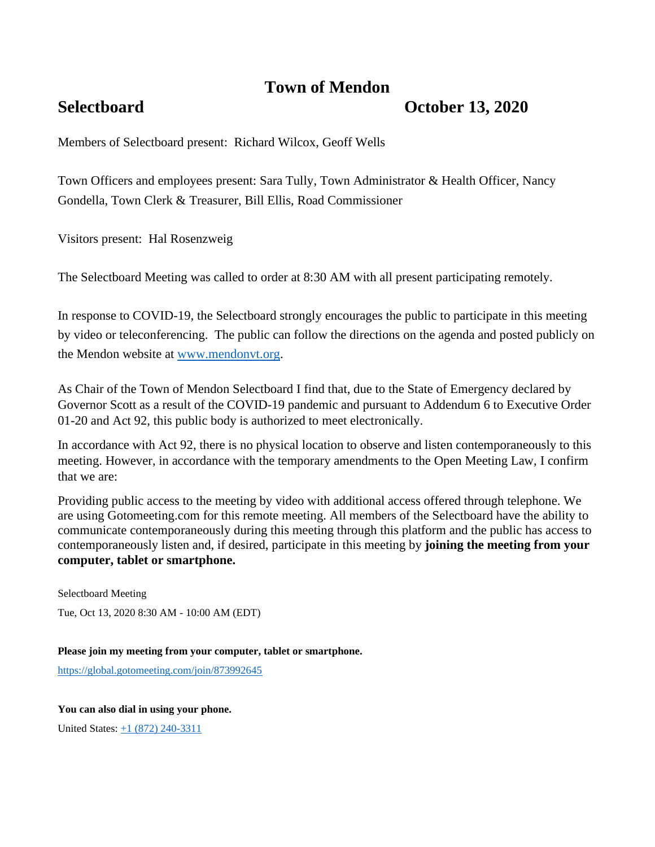# **Town of Mendon**

# **Selectboard October 13, 2020**

Members of Selectboard present: Richard Wilcox, Geoff Wells

Town Officers and employees present: Sara Tully, Town Administrator & Health Officer, Nancy Gondella, Town Clerk & Treasurer, Bill Ellis, Road Commissioner

Visitors present: Hal Rosenzweig

The Selectboard Meeting was called to order at 8:30 AM with all present participating remotely.

In response to COVID-19, the Selectboard strongly encourages the public to participate in this meeting by video or teleconferencing. The public can follow the directions on the agenda and posted publicly on the Mendon website at [www.mendonvt.org.](http://www.mendonvt.org/)

As Chair of the Town of Mendon Selectboard I find that, due to the State of Emergency declared by Governor Scott as a result of the COVID-19 pandemic and pursuant to Addendum 6 to Executive Order 01-20 and Act 92, this public body is authorized to meet electronically.

In accordance with Act 92, there is no physical location to observe and listen contemporaneously to this meeting. However, in accordance with the temporary amendments to the Open Meeting Law, I confirm that we are:

Providing public access to the meeting by video with additional access offered through telephone. We are using Gotomeeting.com for this remote meeting. All members of the Selectboard have the ability to communicate contemporaneously during this meeting through this platform and the public has access to contemporaneously listen and, if desired, participate in this meeting by **joining the meeting from your computer, tablet or smartphone.** 

Selectboard Meeting Tue, Oct 13, 2020 8:30 AM - 10:00 AM (EDT)

**Please join my meeting from your computer, tablet or smartphone.** 

<https://global.gotomeeting.com/join/873992645>

**You can also dial in using your phone.**

United States: [+1 \(872\) 240-3311](tel:+18722403311,,873992645)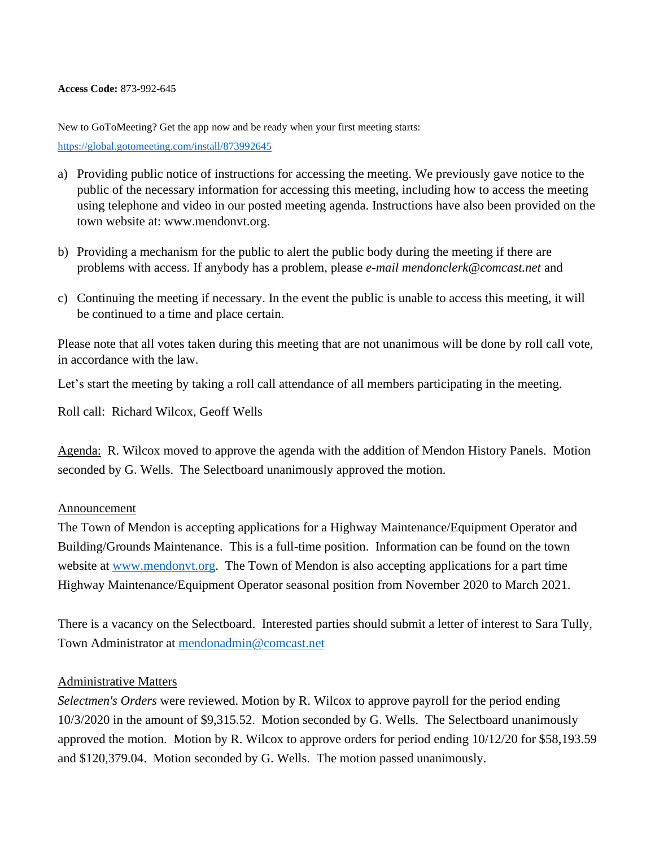**Access Code:** 873-992-645

New to GoToMeeting? Get the app now and be ready when your first meeting starts:

<https://global.gotomeeting.com/install/873992645>

- a) Providing public notice of instructions for accessing the meeting. We previously gave notice to the public of the necessary information for accessing this meeting, including how to access the meeting using telephone and video in our posted meeting agenda. Instructions have also been provided on the town website at: www.mendonvt.org.
- b) Providing a mechanism for the public to alert the public body during the meeting if there are problems with access. If anybody has a problem, please *e-mail mendonclerk@comcast.net* and
- c) Continuing the meeting if necessary. In the event the public is unable to access this meeting, it will be continued to a time and place certain.

Please note that all votes taken during this meeting that are not unanimous will be done by roll call vote, in accordance with the law.

Let's start the meeting by taking a roll call attendance of all members participating in the meeting.

Roll call: Richard Wilcox, Geoff Wells

Agenda: R. Wilcox moved to approve the agenda with the addition of Mendon History Panels. Motion seconded by G. Wells. The Selectboard unanimously approved the motion.

#### Announcement

The Town of Mendon is accepting applications for a Highway Maintenance/Equipment Operator and Building/Grounds Maintenance. This is a full-time position. Information can be found on the town website at [www.mendonvt.org.](http://www.mendonvt.org/) The Town of Mendon is also accepting applications for a part time Highway Maintenance/Equipment Operator seasonal position from November 2020 to March 2021.

There is a vacancy on the Selectboard. Interested parties should submit a letter of interest to Sara Tully, Town Administrator at [mendonadmin@comcast.net](mailto:mendonadmin@comcast.net)

## Administrative Matters

*Selectmen's Orders* were reviewed. Motion by R. Wilcox to approve payroll for the period ending 10/3/2020 in the amount of \$9,315.52. Motion seconded by G. Wells. The Selectboard unanimously approved the motion. Motion by R. Wilcox to approve orders for period ending 10/12/20 for \$58,193.59 and \$120,379.04. Motion seconded by G. Wells. The motion passed unanimously.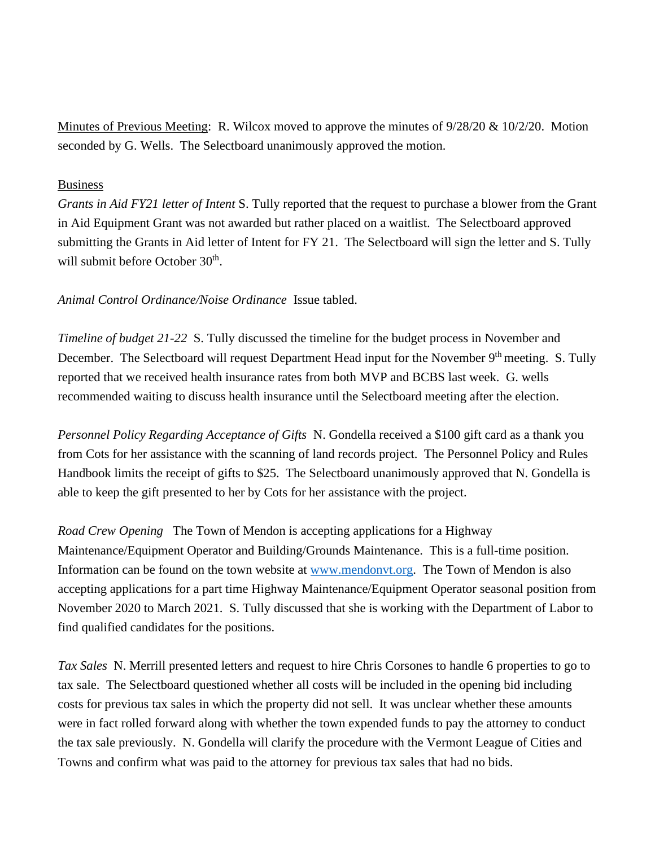Minutes of Previous Meeting: R. Wilcox moved to approve the minutes of 9/28/20 & 10/2/20. Motion seconded by G. Wells. The Selectboard unanimously approved the motion.

#### Business

*Grants in Aid FY21 letter of Intent* S. Tully reported that the request to purchase a blower from the Grant in Aid Equipment Grant was not awarded but rather placed on a waitlist. The Selectboard approved submitting the Grants in Aid letter of Intent for FY 21. The Selectboard will sign the letter and S. Tully will submit before October 30<sup>th</sup>.

## *Animal Control Ordinance/Noise Ordinance* Issue tabled.

*Timeline of budget 21-22* S. Tully discussed the timeline for the budget process in November and December. The Selectboard will request Department Head input for the November 9<sup>th</sup> meeting. S. Tully reported that we received health insurance rates from both MVP and BCBS last week.G. wells recommended waiting to discuss health insurance until the Selectboard meeting after the election.

*Personnel Policy Regarding Acceptance of Gifts* N. Gondella received a \$100 gift card as a thank you from Cots for her assistance with the scanning of land records project. The Personnel Policy and Rules Handbook limits the receipt of gifts to \$25. The Selectboard unanimously approved that N. Gondella is able to keep the gift presented to her by Cots for her assistance with the project.

*Road Crew Opening* The Town of Mendon is accepting applications for a Highway Maintenance/Equipment Operator and Building/Grounds Maintenance. This is a full-time position. Information can be found on the town website at [www.mendonvt.org.](http://www.mendonvt.org/) The Town of Mendon is also accepting applications for a part time Highway Maintenance/Equipment Operator seasonal position from November 2020 to March 2021. S. Tully discussed that she is working with the Department of Labor to find qualified candidates for the positions.

*Tax Sales* N. Merrill presented letters and request to hire Chris Corsones to handle 6 properties to go to tax sale. The Selectboard questioned whether all costs will be included in the opening bid including costs for previous tax sales in which the property did not sell. It was unclear whether these amounts were in fact rolled forward along with whether the town expended funds to pay the attorney to conduct the tax sale previously. N. Gondella will clarify the procedure with the Vermont League of Cities and Towns and confirm what was paid to the attorney for previous tax sales that had no bids.